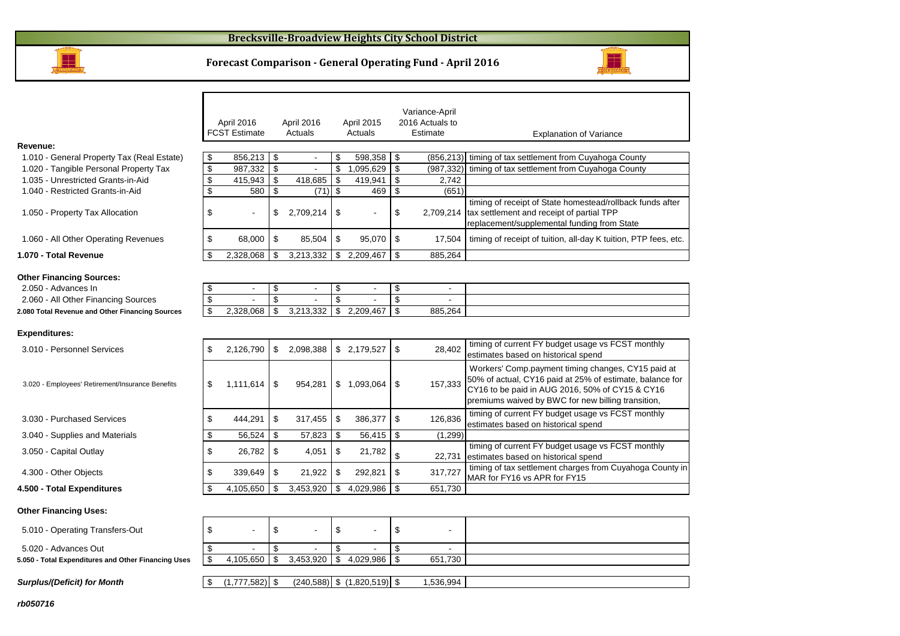#### **Brecksville-Broadview Heights City School District**



**Revenue:**

#### **Forecast Comparison - General Operating Fund - April 2016**



#### **Expenditures:**

**1.070 - Total Revenue**

**Other Financing Sources:**2.050 - Advances In

| 3.010 - Personnel Services                       | S  | 2.126.790      | - \$ | 2.098.388   | \$ | 2,179,527      | \$   | 28.402  | timing of current FY budget usage vs FCST monthly<br>estimates based on historical spend                                                                                                                                |
|--------------------------------------------------|----|----------------|------|-------------|----|----------------|------|---------|-------------------------------------------------------------------------------------------------------------------------------------------------------------------------------------------------------------------------|
| 3.020 - Employees' Retirement/Insurance Benefits | \$ | l.111.614 S    |      | 954.281     | S  | 1.093.064      | - \$ | 157,333 | Workers' Comp.payment timing changes, CY15 paid at<br>50% of actual, CY16 paid at 25% of estimate, balance for<br>CY16 to be paid in AUG 2016, 50% of CY15 & CY16<br>premiums waived by BWC for new billing transition, |
| 3.030 - Purchased Services                       |    | 444.291        | - \$ | $317.455$ S |    | $386,377$ \ \$ |      | 126,836 | timing of current FY budget usage vs FCST monthly<br>estimates based on historical spend                                                                                                                                |
| 3.040 - Supplies and Materials                   |    | 56,524         | \$   | 57,823      |    | 56,415         | \$   | (1,299) |                                                                                                                                                                                                                         |
| 3.050 - Capital Outlay                           |    | 26.782 \$      |      | 4,051       |    | 21,782         |      | 22,731  | timing of current FY budget usage vs FCST monthly<br>estimates based on historical spend                                                                                                                                |
| 4.300 - Other Objects                            |    | $339,649$   \$ |      | 21.922      |    | 292.821        | \$   | 317,727 | timing of tax settlement charges from Cuyahoga County in<br>MAR for FY16 vs APR for FY15                                                                                                                                |
| 4.500 - Total Expenditures                       |    | 4,105,650      |      | 3,453,920   | \$ | 4,029,986      | \$   | 651,730 |                                                                                                                                                                                                                         |
|                                                  |    |                |      |             |    |                |      |         |                                                                                                                                                                                                                         |

 $$4,029,986$   $$651,730$ 

#### **Other Financing Uses:**5.010 - Operating Transfers-Out 5.010 - S \$ - \$ - \$ - \$ 5.020 - Advances Out- \$ - \$ - \$

t | \$ - | \$ -**5.050 - Total Expenditures and Other Financing Uses**

**Surplus/(Deficit) for Month**

\$ (240,588) (1,777,582) \$ (1,820,519) \$ 1,536,994 \$

 $\frac{1}{3}$  4,105,650 \ \ 3,453,920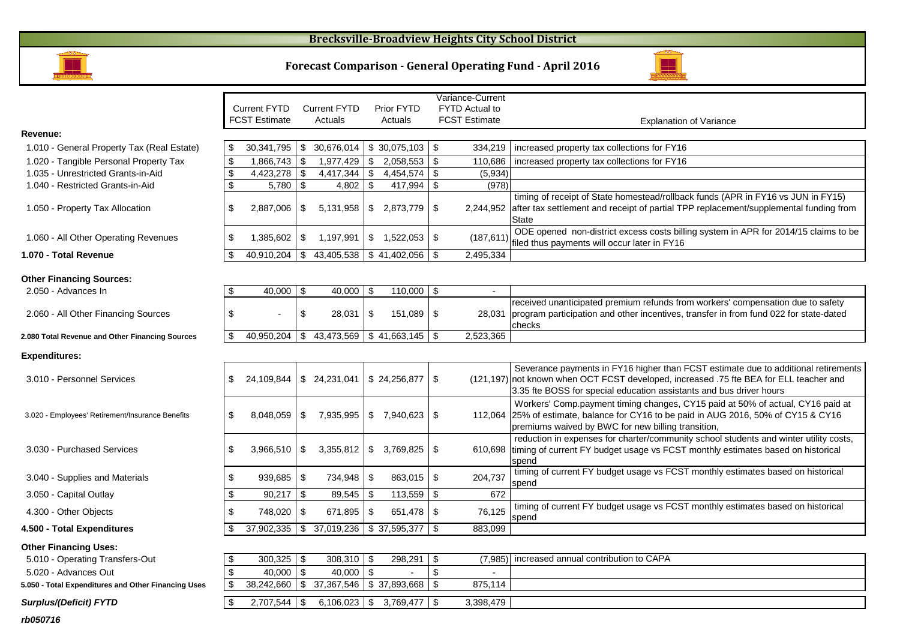## **Brecksville-Broadview Heights City School District**





|                                                        |                           |                                                 |                           |                                         |  | Variance-Current            |                           |                       |                                                                                                                                                                                                                                                     |
|--------------------------------------------------------|---------------------------|-------------------------------------------------|---------------------------|-----------------------------------------|--|-----------------------------|---------------------------|-----------------------|-----------------------------------------------------------------------------------------------------------------------------------------------------------------------------------------------------------------------------------------------------|
|                                                        |                           | <b>Current FYTD</b>                             |                           | <b>Current FYTD</b>                     |  | <b>Prior FYTD</b>           |                           | <b>FYTD Actual to</b> |                                                                                                                                                                                                                                                     |
|                                                        |                           | <b>FCST Estimate</b>                            |                           | Actuals                                 |  | Actuals                     |                           | <b>FCST Estimate</b>  | <b>Explanation of Variance</b>                                                                                                                                                                                                                      |
| Revenue:                                               |                           |                                                 |                           |                                         |  |                             |                           |                       |                                                                                                                                                                                                                                                     |
| 1.010 - General Property Tax (Real Estate)             | \$                        | $30,341,795$ \$ 30,676,014 \$ 30,075,103        |                           |                                         |  |                             | \$                        | 334,219               | increased property tax collections for FY16                                                                                                                                                                                                         |
| 1.020 - Tangible Personal Property Tax                 | $\sqrt[6]{3}$             | $1,866,743$ \$                                  |                           | $1,977,429$ \$                          |  | 2,058,553                   | \$                        | 110,686               | increased property tax collections for FY16                                                                                                                                                                                                         |
| 1.035 - Unrestricted Grants-in-Aid                     | $\boldsymbol{\mathsf{S}}$ | 4,423,278                                       | \$                        | $4,417,344$ \$                          |  | 4,454,574                   | \$                        | (5,934)               |                                                                                                                                                                                                                                                     |
| 1.040 - Restricted Grants-in-Aid                       | $\overline{\mathbf{s}}$   | 5,780                                           | \$                        | 4,802 $\sqrt{$}$                        |  | 417,994                     | \$                        | (978)                 |                                                                                                                                                                                                                                                     |
| 1.050 - Property Tax Allocation                        | \$                        | 2,887,006                                       | \$                        |                                         |  | $5,131,958$ \ \$ 2,873,779  | \$                        |                       | timing of receipt of State homestead/rollback funds (APR in FY16 vs JUN in FY15)<br>2,244,952 after tax settlement and receipt of partial TPP replacement/supplemental funding from<br><b>State</b>                                                 |
| 1.060 - All Other Operating Revenues                   | \$                        | $1,385,602$ \$                                  |                           | 1,197,991   \$ 1,522,053                |  |                             | $\boldsymbol{\mathsf{S}}$ | (187, 611)            | ODE opened non-district excess costs billing system in APR for 2014/15 claims to be<br>filed thus payments will occur later in FY16                                                                                                                 |
| 1.070 - Total Revenue                                  | \$                        | $40,910,204$ \$ $43,405,538$ \$ $41,402,056$ \$ |                           |                                         |  |                             |                           | 2,495,334             |                                                                                                                                                                                                                                                     |
| <b>Other Financing Sources:</b><br>2.050 - Advances In |                           | 40,000 \$                                       |                           | $40,000$ \ \$                           |  | 110,000                     | \$                        | $\blacksquare$        |                                                                                                                                                                                                                                                     |
|                                                        |                           |                                                 |                           |                                         |  |                             |                           |                       | received unanticipated premium refunds from workers' compensation due to safety                                                                                                                                                                     |
| 2.060 - All Other Financing Sources                    | \$                        |                                                 | $\boldsymbol{\mathsf{S}}$ | $28,031$ \$                             |  | 151,089                     | \$                        | 28.031                | program participation and other incentives, transfer in from fund 022 for state-dated<br>checks                                                                                                                                                     |
| 2.080 Total Revenue and Other Financing Sources        | \$                        | 40,950,204                                      |                           | $\frac{1}{2}$ 43,473,569 \ \$41,663,145 |  |                             | -\$                       | 2,523,365             |                                                                                                                                                                                                                                                     |
| <b>Expenditures:</b>                                   |                           |                                                 |                           |                                         |  |                             |                           |                       |                                                                                                                                                                                                                                                     |
| 3.010 - Personnel Services                             | \$                        | 24,109,844                                      |                           | \$24,231,041                            |  | \$24,256,877                | \$                        |                       | Severance payments in FY16 higher than FCST estimate due to additional retirements<br>(121,197) not known when OCT FCST developed, increased .75 fte BEA for ELL teacher and<br>3.35 fte BOSS for special education assistants and bus driver hours |
| 3.020 - Employees' Retirement/Insurance Benefits       | \$                        | 8,048,059                                       | \$                        | 7,935,995                               |  | \$7,940,623                 | -\$                       |                       | Workers' Comp.payment timing changes, CY15 paid at 50% of actual, CY16 paid at<br>112,064 25% of estimate, balance for CY16 to be paid in AUG 2016, 50% of CY15 & CY16<br>premiums waived by BWC for new billing transition,                        |
| 3.030 - Purchased Services                             | \$                        | 3,966,510                                       | \$                        |                                         |  | $3,355,812$ \ \$ 3,769,825  | \$                        |                       | reduction in expenses for charter/community school students and winter utility costs,<br>610,698 timing of current FY budget usage vs FCST monthly estimates based on historical<br>spend                                                           |
| 3.040 - Supplies and Materials                         | \$                        | 939,685                                         | $\boldsymbol{\mathsf{S}}$ | 734,948 \$                              |  | 863,015                     | $\boldsymbol{\mathsf{S}}$ | 204,737               | timing of current FY budget usage vs FCST monthly estimates based on historical<br>spend                                                                                                                                                            |
| 3.050 - Capital Outlay                                 | \$                        | $90,217$ \$                                     |                           | $89,545$ \$                             |  | $113,559$ \$                |                           | 672                   |                                                                                                                                                                                                                                                     |
| 4.300 - Other Objects                                  | \$                        | 748,020 \$                                      |                           | $671,895$ \$                            |  | 651,478                     | \$                        | 76,125                | timing of current FY budget usage vs FCST monthly estimates based on historical<br>spend                                                                                                                                                            |
| 4.500 - Total Expenditures                             |                           | 37,902,335 \$ 37,019,236 \$ 37,595,377          |                           |                                         |  |                             | -\$                       | 883,099               |                                                                                                                                                                                                                                                     |
| <b>Other Financing Uses:</b>                           |                           |                                                 |                           |                                         |  |                             |                           |                       |                                                                                                                                                                                                                                                     |
| 5.010 - Operating Transfers-Out                        | \$                        | $\overline{300,325}$ \$                         |                           | $308,310$ \$                            |  | 298,291                     | \$                        | (7, 985)              | increased annual contribution to CAPA                                                                                                                                                                                                               |
| 5.020 - Advances Out                                   | $\mathfrak{S}$            | $40,000$ \$                                     |                           | 40,000 $\vert$ \$                       |  |                             | $\boldsymbol{\mathsf{S}}$ |                       |                                                                                                                                                                                                                                                     |
| 5.050 - Total Expenditures and Other Financing Uses    | $\sqrt[6]{3}$             | 38,242,660 \$ 37,367,546 \$ 37,893,668          |                           |                                         |  |                             | \$                        | 875,114               |                                                                                                                                                                                                                                                     |
| Surplus/(Deficit) FYTD                                 | \$                        | $2,707,544$ \$                                  |                           |                                         |  | $6,106,023$ \$ 3,769,477 \$ |                           | 3,398,479             |                                                                                                                                                                                                                                                     |

**rb050716**

anyso<br>T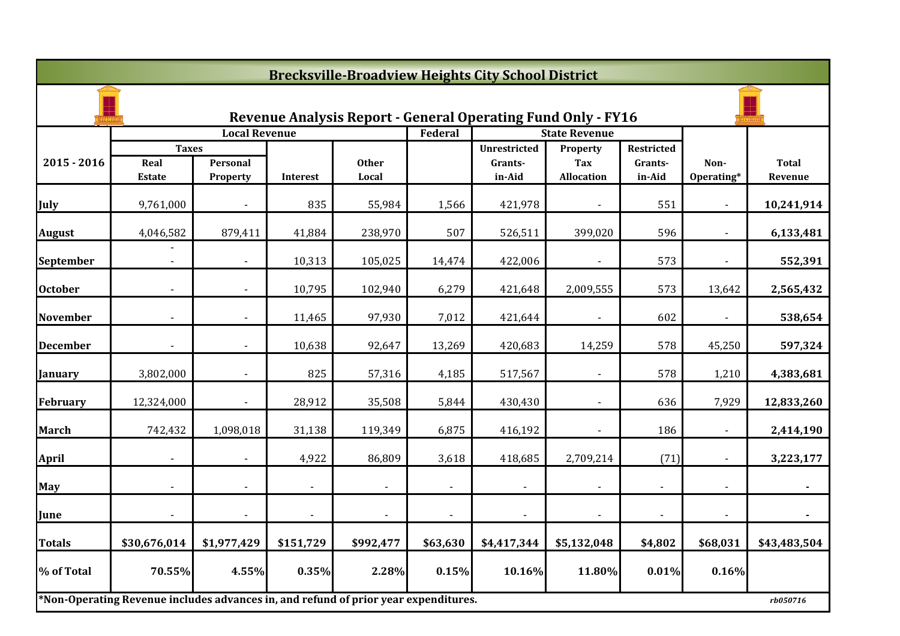|                 | <b>Brecksville-Broadview Heights City School District</b>                           |                      |                |                |                |                                                                     |                      |                       |                |              |  |  |
|-----------------|-------------------------------------------------------------------------------------|----------------------|----------------|----------------|----------------|---------------------------------------------------------------------|----------------------|-----------------------|----------------|--------------|--|--|
|                 |                                                                                     |                      |                |                |                | <b>Revenue Analysis Report - General Operating Fund Only - FY16</b> |                      |                       |                |              |  |  |
|                 |                                                                                     | <b>Local Revenue</b> |                |                | Federal        |                                                                     | <b>State Revenue</b> |                       |                |              |  |  |
| $2015 - 2016$   | <b>Taxes</b><br>Real                                                                | Personal             |                | <b>Other</b>   |                | <b>Unrestricted</b><br>Grants-                                      | Property<br>Tax      | Restricted<br>Grants- | Non-           | <b>Total</b> |  |  |
|                 | <b>Estate</b>                                                                       | Property             | Interest       | Local          |                | in-Aid                                                              | <b>Allocation</b>    | in-Aid                | Operating*     | Revenue      |  |  |
| July            | 9,761,000                                                                           |                      | 835            | 55,984         | 1,566          | 421,978                                                             |                      | 551                   |                | 10,241,914   |  |  |
| <b>August</b>   | 4,046,582                                                                           | 879,411              | 41,884         | 238,970        | 507            | 526,511                                                             | 399,020              | 596                   | $\blacksquare$ | 6,133,481    |  |  |
| September       |                                                                                     |                      | 10,313         | 105,025        | 14,474         | 422,006                                                             | $\blacksquare$       | 573                   | $\blacksquare$ | 552,391      |  |  |
| <b>October</b>  |                                                                                     |                      | 10,795         | 102,940        | 6,279          | 421,648                                                             | 2,009,555            | 573                   | 13,642         | 2,565,432    |  |  |
| <b>November</b> |                                                                                     |                      | 11,465         | 97,930         | 7,012          | 421,644                                                             |                      | 602                   |                | 538,654      |  |  |
| <b>December</b> |                                                                                     |                      | 10,638         | 92,647         | 13,269         | 420,683                                                             | 14,259               | 578                   | 45,250         | 597,324      |  |  |
| <b>January</b>  | 3,802,000                                                                           | $\blacksquare$       | 825            | 57,316         | 4,185          | 517,567                                                             | $\overline{a}$       | 578                   | 1,210          | 4,383,681    |  |  |
| February        | 12,324,000                                                                          | $\blacksquare$       | 28,912         | 35,508         | 5,844          | 430,430                                                             | $\blacksquare$       | 636                   | 7,929          | 12,833,260   |  |  |
| <b>March</b>    | 742,432                                                                             | 1,098,018            | 31,138         | 119,349        | 6,875          | 416,192                                                             |                      | 186                   |                | 2,414,190    |  |  |
| <b>April</b>    |                                                                                     |                      | 4,922          | 86,809         | 3,618          | 418,685                                                             | 2,709,214            | (71)                  |                | 3,223,177    |  |  |
| <b>May</b>      |                                                                                     |                      |                |                |                |                                                                     |                      |                       |                |              |  |  |
| June            | $\blacksquare$                                                                      | $\blacksquare$       | $\blacksquare$ | $\blacksquare$ | $\blacksquare$ | $\blacksquare$                                                      | $\blacksquare$       | $\overline{a}$        | $\blacksquare$ | $\sim$       |  |  |
| Totals          | \$30,676,014                                                                        | \$1,977,429          | \$151,729      | \$992,477      | \$63,630       | \$4,417,344                                                         | \$5,132,048          | \$4,802               | \$68,031       | \$43,483,504 |  |  |
| % of Total      | 70.55%                                                                              | 4.55%                | 0.35%          | 2.28%          | 0.15%          | 10.16%                                                              | 11.80%               | 0.01%                 | 0.16%          |              |  |  |
|                 | *Non-Operating Revenue includes advances in, and refund of prior year expenditures. |                      |                |                |                |                                                                     |                      |                       |                | rb050716     |  |  |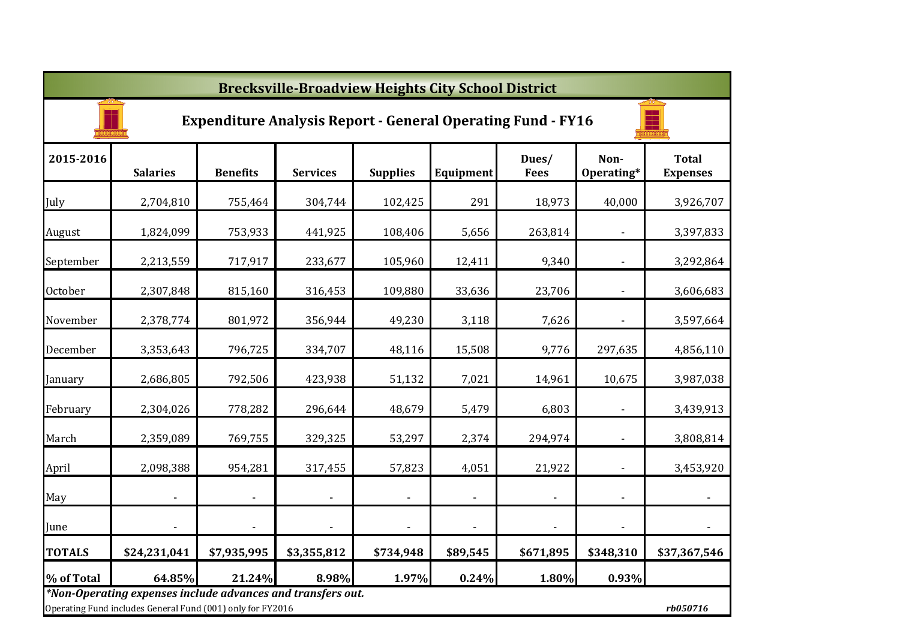|                | <b>Brecksville-Broadview Heights City School District</b>                                                                 |                          |                          |                 |                |                      |                          |                                 |  |  |  |  |
|----------------|---------------------------------------------------------------------------------------------------------------------------|--------------------------|--------------------------|-----------------|----------------|----------------------|--------------------------|---------------------------------|--|--|--|--|
|                | <b>Expenditure Analysis Report - General Operating Fund - FY16</b>                                                        |                          |                          |                 |                |                      |                          |                                 |  |  |  |  |
| 2015-2016      | <b>Salaries</b>                                                                                                           | <b>Benefits</b>          | <b>Services</b>          | <b>Supplies</b> | Equipment      | Dues/<br><b>Fees</b> | Non-<br>Operating*       | <b>Total</b><br><b>Expenses</b> |  |  |  |  |
| July           | 2,704,810                                                                                                                 | 755,464                  | 304,744                  | 102,425         | 291            | 18,973               | 40,000                   | 3,926,707                       |  |  |  |  |
| August         | 1,824,099                                                                                                                 | 753,933                  | 441,925                  | 108,406         | 5,656          | 263,814              |                          | 3,397,833                       |  |  |  |  |
| September      | 2,213,559                                                                                                                 | 717,917                  | 233,677                  | 105,960         | 12,411         | 9,340                |                          | 3,292,864                       |  |  |  |  |
| <b>October</b> | 2,307,848                                                                                                                 | 815,160                  | 316,453                  | 109,880         | 33,636         | 23,706               |                          | 3,606,683                       |  |  |  |  |
| November       | 2,378,774                                                                                                                 | 801,972                  | 356,944                  | 49,230          | 3,118          | 7,626                | $\overline{\phantom{a}}$ | 3,597,664                       |  |  |  |  |
| December       | 3,353,643                                                                                                                 | 796,725                  | 334,707                  | 48,116          | 15,508         | 9,776                | 297,635                  | 4,856,110                       |  |  |  |  |
| January        | 2,686,805                                                                                                                 | 792,506                  | 423,938                  | 51,132          | 7,021          | 14,961               | 10,675                   | 3,987,038                       |  |  |  |  |
| February       | 2,304,026                                                                                                                 | 778,282                  | 296,644                  | 48,679          | 5,479          | 6,803                | $\blacksquare$           | 3,439,913                       |  |  |  |  |
| March          | 2,359,089                                                                                                                 | 769,755                  | 329,325                  | 53,297          | 2,374          | 294,974              | $\blacksquare$           | 3,808,814                       |  |  |  |  |
| April          | 2,098,388                                                                                                                 | 954,281                  | 317,455                  | 57,823          | 4,051          | 21,922               | $\blacksquare$           | 3,453,920                       |  |  |  |  |
| May            |                                                                                                                           | $\overline{\phantom{a}}$ | $\overline{\phantom{a}}$ |                 | $\blacksquare$ |                      | $\overline{\phantom{a}}$ |                                 |  |  |  |  |
| June           |                                                                                                                           |                          | $\overline{\phantom{a}}$ |                 |                | $\blacksquare$       | $\blacksquare$           |                                 |  |  |  |  |
| <b>TOTALS</b>  | \$24,231,041                                                                                                              | \$7,935,995              | \$3,355,812              | \$734,948       | \$89,545       | \$671,895            | \$348,310                | \$37,367,546                    |  |  |  |  |
| % of Total     | 64.85%                                                                                                                    | 21.24%                   | 8.98%                    | 1.97%           | 0.24%          | 1.80%                | 0.93%                    |                                 |  |  |  |  |
|                | *Non-Operating expenses include advances and transfers out.<br>Operating Fund includes General Fund (001) only for FY2016 |                          |                          |                 |                |                      |                          | rb050716                        |  |  |  |  |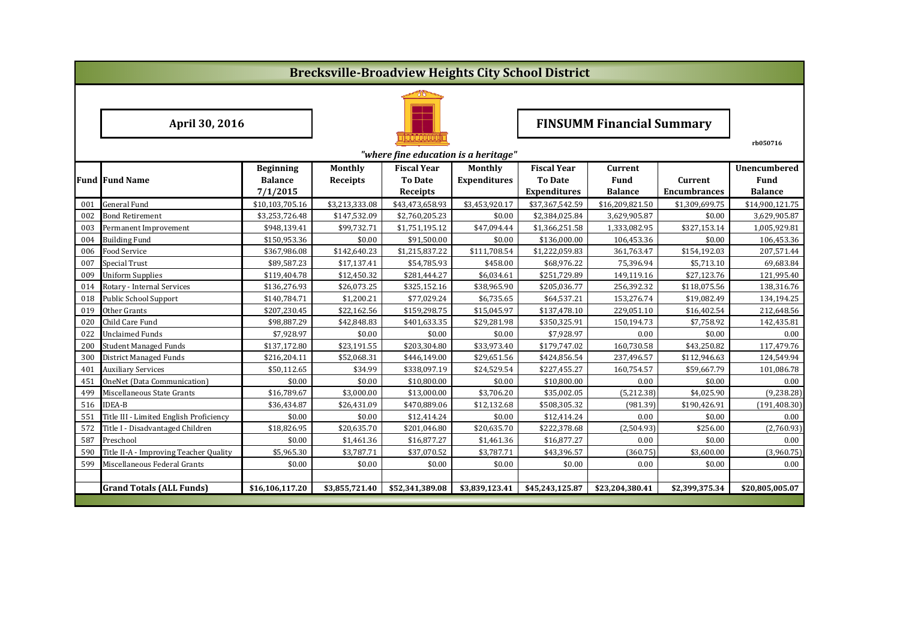|     | <b>Brecksville-Broadview Heights City School District</b> |                  |                 |                    |                     |                                  |                 |                     |                     |  |  |
|-----|-----------------------------------------------------------|------------------|-----------------|--------------------|---------------------|----------------------------------|-----------------|---------------------|---------------------|--|--|
|     |                                                           |                  |                 |                    |                     |                                  |                 |                     |                     |  |  |
|     | April 30, 2016                                            |                  |                 |                    |                     | <b>FINSUMM Financial Summary</b> |                 |                     |                     |  |  |
|     | "where fine education is a heritage"                      |                  |                 |                    |                     |                                  |                 |                     |                     |  |  |
|     |                                                           | <b>Beginning</b> | <b>Monthly</b>  | <b>Fiscal Year</b> | <b>Monthly</b>      | <b>Fiscal Year</b>               | <b>Current</b>  |                     | <b>Unencumbered</b> |  |  |
|     | <b>Fund Fund Name</b>                                     | <b>Balance</b>   | <b>Receipts</b> | <b>To Date</b>     | <b>Expenditures</b> | <b>To Date</b>                   | Fund            | Current             | Fund                |  |  |
|     |                                                           | 7/1/2015         |                 | Receipts           |                     | <b>Expenditures</b>              | <b>Balance</b>  | <b>Encumbrances</b> | <b>Balance</b>      |  |  |
| 001 | General Fund                                              | \$10,103,705.16  | \$3,213,333.08  | \$43,473,658.93    | \$3,453,920.17      | \$37,367,542.59                  | \$16,209,821.50 | \$1,309,699.75      | \$14,900,121.75     |  |  |
| 002 | Bond Retirement                                           | \$3,253,726.48   | \$147,532.09    | \$2,760,205.23     | \$0.00              | \$2,384,025.84                   | 3,629,905.87    | \$0.00              | 3,629,905.87        |  |  |
| 003 | Permanent Improvement                                     | \$948,139.41     | \$99,732.71     | \$1,751,195.12     | \$47,094.44         | \$1,366,251.58                   | 1,333,082.95    | \$327,153.14        | 1,005,929.81        |  |  |
| 004 | <b>Building Fund</b>                                      | \$150,953.36     | \$0.00          | \$91,500.00        | \$0.00              | \$136,000.00                     | 106,453.36      | \$0.00              | 106,453.36          |  |  |
| 006 | Food Service                                              | \$367,986.08     | \$142,640.23    | \$1,215,837.22     | \$111,708.54        | \$1,222,059.83                   | 361,763.47      | \$154,192.03        | 207,571.44          |  |  |
| 007 | <b>Special Trust</b>                                      | \$89,587.23      | \$17,137.41     | \$54,785.93        | \$458.00            | \$68,976.22                      | 75,396.94       | \$5,713.10          | 69,683.84           |  |  |
| 009 | <b>Uniform Supplies</b>                                   | \$119,404.78     | \$12,450.32     | \$281,444.27       | \$6,034.61          | \$251,729.89                     | 149,119.16      | \$27,123.76         | 121,995.40          |  |  |
| 014 | Rotary - Internal Services                                | \$136,276.93     | \$26,073.25     | \$325,152.16       | \$38,965.90         | \$205,036.77                     | 256,392.32      | \$118,075.56        | 138,316.76          |  |  |
| 018 | Public School Support                                     | \$140,784.71     | \$1,200.21      | \$77,029.24        | \$6,735.65          | \$64,537.21                      | 153,276.74      | \$19,082.49         | 134,194.25          |  |  |
| 019 | Other Grants                                              | \$207,230.45     | \$22,162.56     | \$159,298.75       | \$15,045.97         | \$137,478.10                     | 229,051.10      | \$16,402.54         | 212,648.56          |  |  |
| 020 | Child Care Fund                                           | \$98,887.29      | \$42,848.83     | \$401,633.35       | \$29,281.98         | \$350,325.91                     | 150,194.73      | \$7,758.92          | 142,435.81          |  |  |
| 022 | Unclaimed Funds                                           | \$7,928.97       | \$0.00          | \$0.00             | \$0.00              | \$7,928.97                       | 0.00            | \$0.00              | 0.00                |  |  |
| 200 | <b>Student Managed Funds</b>                              | \$137,172.80     | \$23,191.55     | \$203,304.80       | \$33,973.40         | \$179,747.02                     | 160,730.58      | \$43,250.82         | 117,479.76          |  |  |
| 300 | District Managed Funds                                    | \$216,204.11     | \$52,068.31     | \$446,149.00       | \$29,651.56         | \$424,856.54                     | 237,496.57      | \$112,946.63        | 124,549.94          |  |  |
| 401 | <b>Auxiliary Services</b>                                 | \$50,112.65      | \$34.99         | \$338,097.19       | \$24,529.54         | \$227,455.27                     | 160,754.57      | \$59,667.79         | 101,086.78          |  |  |
| 451 | OneNet (Data Communication)                               | \$0.00           | \$0.00          | \$10,800.00        | \$0.00              | \$10,800.00                      | 0.00            | \$0.00              | 0.00                |  |  |
| 499 | Miscellaneous State Grants                                | \$16,789.67      | \$3,000.00      | \$13,000.00        | \$3,706.20          | \$35,002.05                      | (5,212.38)      | \$4,025.90          | (9, 238.28)         |  |  |
| 516 | <b>IDEA-B</b>                                             | \$36,434.87      | \$26,431.09     | \$470,889.06       | \$12,132.68         | \$508,305.32                     | (981.39)        | \$190,426.91        | (191, 408.30)       |  |  |
| 551 | Title III - Limited English Proficiency                   | \$0.00           | \$0.00          | \$12,414.24        | \$0.00              | \$12,414.24                      | 0.00            | \$0.00              | 0.00                |  |  |
| 572 | Title I - Disadvantaged Children                          | \$18,826.95      | \$20,635.70     | \$201,046.80       | \$20,635.70         | \$222,378.68                     | (2,504.93)      | \$256.00            | (2,760.93)          |  |  |
| 587 | Preschool                                                 | \$0.00           | \$1,461.36      | \$16,877.27        | \$1,461.36          | \$16,877.27                      | 0.00            | \$0.00              | 0.00                |  |  |
| 590 | Title II-A - Improving Teacher Quality                    | \$5,965.30       | \$3,787.71      | \$37,070.52        | \$3,787.71          | \$43,396.57                      | (360.75)        | \$3,600.00          | (3,960.75)          |  |  |
| 599 | Miscellaneous Federal Grants                              | \$0.00           | \$0.00          | \$0.00             | \$0.00              | \$0.00                           | 0.00            | \$0.00              | 0.00                |  |  |
|     |                                                           |                  |                 |                    |                     |                                  |                 |                     |                     |  |  |
|     | <b>Grand Totals (ALL Funds)</b>                           | \$16,106,117.20  | \$3,855,721.40  | \$52,341,389.08    | \$3,839,123.41      | \$45,243,125.87                  | \$23,204,380.41 | \$2,399,375.34      | \$20,805,005.07     |  |  |
|     |                                                           |                  |                 |                    |                     |                                  |                 |                     |                     |  |  |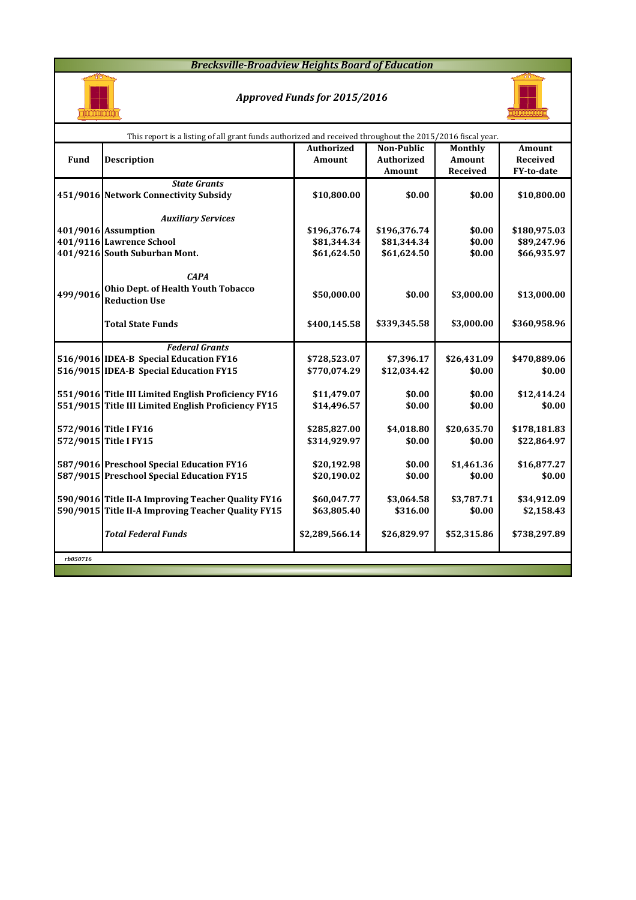### *Brecksville-Broadview Heights Board of Education*



### *Approved Funds for 2015/2016*



|          |                                                     | This report is a listing of all grant funds authorized and received throughout the 2015/2016 fiscal year. |                   |             |                 |  |  |  |  |  |  |  |
|----------|-----------------------------------------------------|-----------------------------------------------------------------------------------------------------------|-------------------|-------------|-----------------|--|--|--|--|--|--|--|
|          |                                                     | <b>Authorized</b>                                                                                         | Non-Public        | Monthly     | Amount          |  |  |  |  |  |  |  |
| Fund     | <b>Description</b>                                  | Amount                                                                                                    | <b>Authorized</b> | Amount      | <b>Received</b> |  |  |  |  |  |  |  |
|          |                                                     |                                                                                                           | Amount            | Received    | FY-to-date      |  |  |  |  |  |  |  |
|          | <b>State Grants</b>                                 |                                                                                                           |                   |             |                 |  |  |  |  |  |  |  |
|          | 451/9016 Network Connectivity Subsidy               | \$10,800.00                                                                                               | \$0.00            | \$0.00      | \$10,800.00     |  |  |  |  |  |  |  |
|          |                                                     |                                                                                                           |                   |             |                 |  |  |  |  |  |  |  |
|          | <b>Auxiliary Services</b>                           |                                                                                                           |                   |             |                 |  |  |  |  |  |  |  |
|          | 401/9016 Assumption                                 | \$196,376.74                                                                                              | \$196,376.74      | \$0.00      | \$180,975.03    |  |  |  |  |  |  |  |
|          | 401/9116 Lawrence School                            | \$81,344.34                                                                                               | \$81,344.34       | \$0.00      | \$89,247.96     |  |  |  |  |  |  |  |
|          | 401/9216 South Suburban Mont.                       | \$61,624.50                                                                                               | \$61,624.50       | \$0.00      | \$66,935.97     |  |  |  |  |  |  |  |
|          |                                                     |                                                                                                           |                   |             |                 |  |  |  |  |  |  |  |
|          | <b>CAPA</b>                                         |                                                                                                           |                   |             |                 |  |  |  |  |  |  |  |
| 499/9016 | Ohio Dept. of Health Youth Tobacco                  | \$50,000.00                                                                                               | \$0.00            | \$3,000.00  | \$13,000.00     |  |  |  |  |  |  |  |
|          | <b>Reduction Use</b>                                |                                                                                                           |                   |             |                 |  |  |  |  |  |  |  |
|          |                                                     |                                                                                                           |                   |             |                 |  |  |  |  |  |  |  |
|          | <b>Total State Funds</b>                            | \$400,145.58                                                                                              | \$339,345.58      | \$3,000.00  | \$360,958.96    |  |  |  |  |  |  |  |
|          |                                                     |                                                                                                           |                   |             |                 |  |  |  |  |  |  |  |
|          | <b>Federal Grants</b>                               |                                                                                                           |                   |             |                 |  |  |  |  |  |  |  |
|          | 516/9016 IDEA-B Special Education FY16              | \$728,523.07                                                                                              | \$7,396.17        | \$26,431.09 | \$470,889.06    |  |  |  |  |  |  |  |
|          | 516/9015 IDEA-B Special Education FY15              | \$770,074.29                                                                                              | \$12,034.42       | \$0.00      | \$0.00          |  |  |  |  |  |  |  |
|          |                                                     |                                                                                                           |                   |             |                 |  |  |  |  |  |  |  |
|          | 551/9016 Title III Limited English Proficiency FY16 | \$11,479.07                                                                                               | \$0.00            | \$0.00      | \$12,414.24     |  |  |  |  |  |  |  |
|          | 551/9015 Title III Limited English Proficiency FY15 | \$14,496.57                                                                                               | \$0.00            | \$0.00      | \$0.00          |  |  |  |  |  |  |  |
|          |                                                     |                                                                                                           |                   |             |                 |  |  |  |  |  |  |  |
|          | 572/9016 Title I FY16                               | \$285,827.00                                                                                              | \$4,018.80        | \$20,635.70 | \$178,181.83    |  |  |  |  |  |  |  |
|          | 572/9015 Title I FY15                               | \$314,929.97                                                                                              | \$0.00            | \$0.00      | \$22,864.97     |  |  |  |  |  |  |  |
|          |                                                     |                                                                                                           |                   |             |                 |  |  |  |  |  |  |  |
|          | 587/9016 Preschool Special Education FY16           | \$20,192.98                                                                                               | \$0.00            | \$1,461.36  | \$16,877.27     |  |  |  |  |  |  |  |
|          | 587/9015 Preschool Special Education FY15           | \$20,190.02                                                                                               | \$0.00            | \$0.00      | \$0.00          |  |  |  |  |  |  |  |
|          |                                                     |                                                                                                           |                   |             |                 |  |  |  |  |  |  |  |
|          | 590/9016 Title II-A Improving Teacher Quality FY16  | \$60,047.77                                                                                               | \$3,064.58        | \$3,787.71  | \$34,912.09     |  |  |  |  |  |  |  |
|          | 590/9015 Title II-A Improving Teacher Quality FY15  | \$63,805.40                                                                                               | \$316.00          | \$0.00      | \$2,158.43      |  |  |  |  |  |  |  |
|          |                                                     |                                                                                                           |                   |             |                 |  |  |  |  |  |  |  |
|          | <b>Total Federal Funds</b>                          | \$2,289,566.14                                                                                            | \$26,829.97       | \$52,315.86 | \$738,297.89    |  |  |  |  |  |  |  |
|          |                                                     |                                                                                                           |                   |             |                 |  |  |  |  |  |  |  |
| rb050716 |                                                     |                                                                                                           |                   |             |                 |  |  |  |  |  |  |  |
|          |                                                     |                                                                                                           |                   |             |                 |  |  |  |  |  |  |  |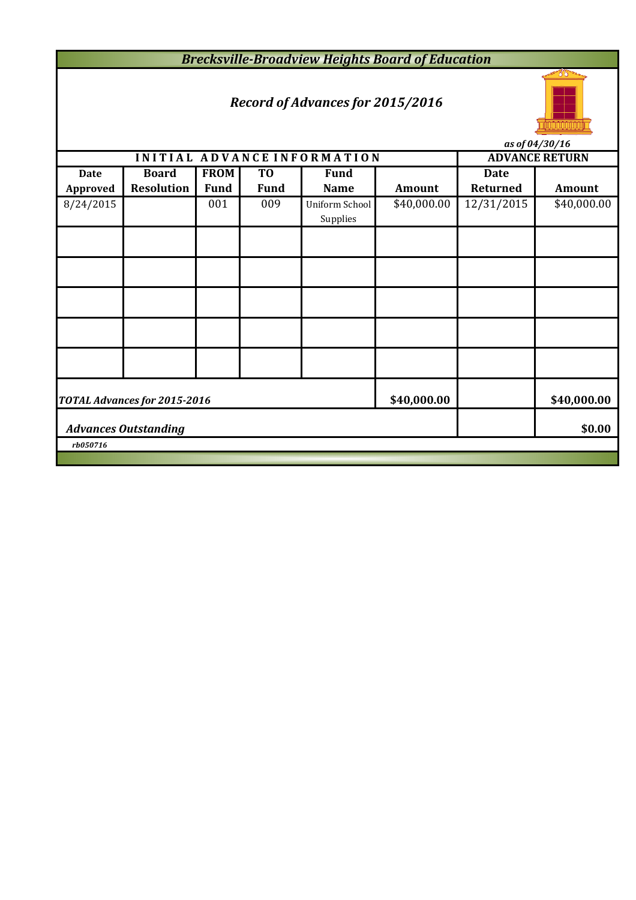*Brecksville-Broadview Heights Board of Education*

# *Record of Advances for 2015/2016*



*as of 04/30/16*

|                 | <i>us vj v4/50/10</i>        |             |                |                             |             |                       |               |  |  |  |  |
|-----------------|------------------------------|-------------|----------------|-----------------------------|-------------|-----------------------|---------------|--|--|--|--|
|                 |                              |             |                | INITIAL ADVANCE INFORMATION |             | <b>ADVANCE RETURN</b> |               |  |  |  |  |
| <b>Date</b>     | <b>Board</b>                 | <b>FROM</b> | T <sub>0</sub> | <b>Fund</b>                 |             | <b>Date</b>           |               |  |  |  |  |
| <b>Approved</b> | <b>Resolution</b>            | <b>Fund</b> | <b>Fund</b>    | <b>Name</b>                 | Amount      | <b>Returned</b>       | <b>Amount</b> |  |  |  |  |
| 8/24/2015       |                              | 001         | 009            | Uniform School<br>Supplies  | \$40,000.00 | 12/31/2015            | \$40,000.00   |  |  |  |  |
|                 |                              |             |                |                             |             |                       |               |  |  |  |  |
|                 |                              |             |                |                             |             |                       |               |  |  |  |  |
|                 |                              |             |                |                             |             |                       |               |  |  |  |  |
|                 |                              |             |                |                             |             |                       |               |  |  |  |  |
|                 |                              |             |                |                             |             |                       |               |  |  |  |  |
|                 | TOTAL Advances for 2015-2016 | \$40,000.00 |                | \$40,000.00                 |             |                       |               |  |  |  |  |
|                 | <b>Advances Outstanding</b>  |             |                | \$0.00                      |             |                       |               |  |  |  |  |
| rb050716        |                              |             |                |                             |             |                       |               |  |  |  |  |
|                 |                              |             |                |                             |             |                       |               |  |  |  |  |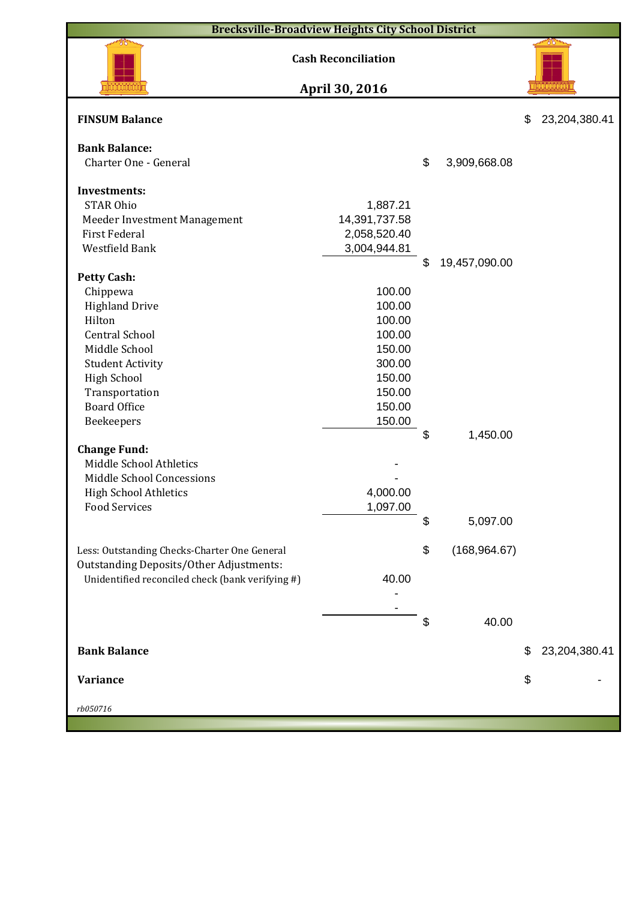| <b>Brecksville-Broadview Heights City School District</b> |                            |    |               |    |               |  |  |  |  |
|-----------------------------------------------------------|----------------------------|----|---------------|----|---------------|--|--|--|--|
|                                                           | <b>Cash Reconciliation</b> |    |               |    | 78            |  |  |  |  |
|                                                           | April 30, 2016             |    |               |    |               |  |  |  |  |
| <b>FINSUM Balance</b>                                     |                            |    |               | \$ | 23,204,380.41 |  |  |  |  |
| <b>Bank Balance:</b><br>Charter One - General             |                            | \$ | 3,909,668.08  |    |               |  |  |  |  |
|                                                           |                            |    |               |    |               |  |  |  |  |
| Investments:                                              |                            |    |               |    |               |  |  |  |  |
| <b>STAR Ohio</b>                                          | 1,887.21                   |    |               |    |               |  |  |  |  |
| Meeder Investment Management                              | 14,391,737.58              |    |               |    |               |  |  |  |  |
| <b>First Federal</b>                                      | 2,058,520.40               |    |               |    |               |  |  |  |  |
| Westfield Bank                                            | 3,004,944.81               |    |               |    |               |  |  |  |  |
|                                                           |                            | \$ | 19,457,090.00 |    |               |  |  |  |  |
| <b>Petty Cash:</b>                                        |                            |    |               |    |               |  |  |  |  |
| Chippewa                                                  | 100.00                     |    |               |    |               |  |  |  |  |
| <b>Highland Drive</b>                                     | 100.00                     |    |               |    |               |  |  |  |  |
| Hilton                                                    | 100.00                     |    |               |    |               |  |  |  |  |
| <b>Central School</b>                                     | 100.00                     |    |               |    |               |  |  |  |  |
| Middle School                                             | 150.00                     |    |               |    |               |  |  |  |  |
| <b>Student Activity</b>                                   | 300.00                     |    |               |    |               |  |  |  |  |
| <b>High School</b>                                        | 150.00                     |    |               |    |               |  |  |  |  |
| Transportation                                            | 150.00                     |    |               |    |               |  |  |  |  |
| <b>Board Office</b>                                       | 150.00                     |    |               |    |               |  |  |  |  |
| Beekeepers                                                | 150.00                     | \$ |               |    |               |  |  |  |  |
|                                                           |                            |    | 1,450.00      |    |               |  |  |  |  |
| <b>Change Fund:</b><br>Middle School Athletics            |                            |    |               |    |               |  |  |  |  |
| Middle School Concessions                                 |                            |    |               |    |               |  |  |  |  |
|                                                           | 4,000.00                   |    |               |    |               |  |  |  |  |
| <b>High School Athletics</b><br><b>Food Services</b>      | 1,097.00                   |    |               |    |               |  |  |  |  |
|                                                           |                            | \$ |               |    |               |  |  |  |  |
|                                                           |                            |    | 5,097.00      |    |               |  |  |  |  |
| Less: Outstanding Checks-Charter One General              |                            | \$ | (168, 964.67) |    |               |  |  |  |  |
| Outstanding Deposits/Other Adjustments:                   |                            |    |               |    |               |  |  |  |  |
| Unidentified reconciled check (bank verifying #)          | 40.00                      |    |               |    |               |  |  |  |  |
|                                                           |                            |    |               |    |               |  |  |  |  |
|                                                           |                            |    |               |    |               |  |  |  |  |
|                                                           |                            | \$ | 40.00         |    |               |  |  |  |  |
|                                                           |                            |    |               |    |               |  |  |  |  |
| <b>Bank Balance</b>                                       |                            |    |               | S  | 23,204,380.41 |  |  |  |  |
|                                                           |                            |    |               |    |               |  |  |  |  |
| <b>Variance</b>                                           |                            |    |               | \$ |               |  |  |  |  |
|                                                           |                            |    |               |    |               |  |  |  |  |
| rb050716                                                  |                            |    |               |    |               |  |  |  |  |
|                                                           |                            |    |               |    |               |  |  |  |  |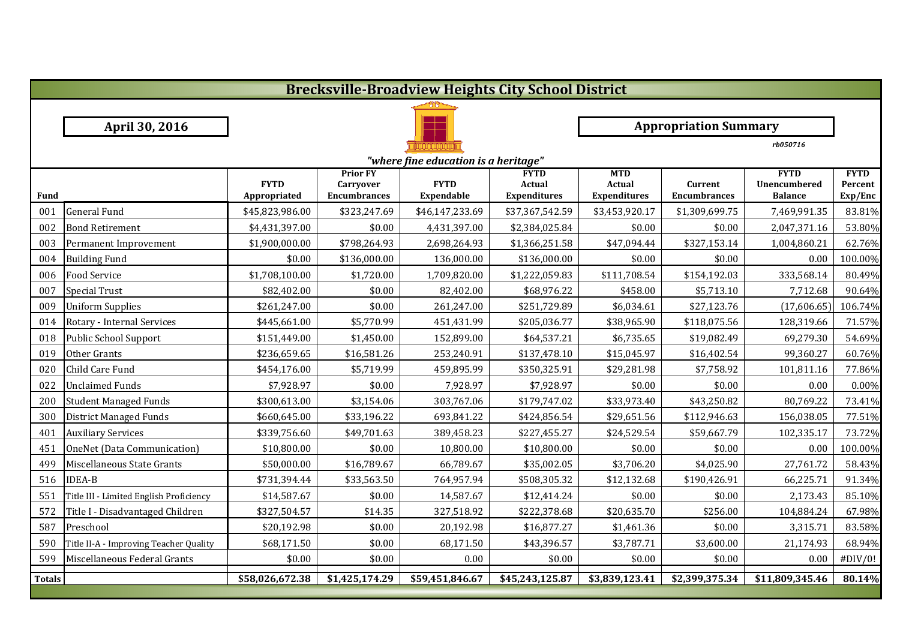|               | <b>Brecksville-Broadview Heights City School District</b> |                              |                                     |                   |                       |                             |                     |                                    |                        |  |  |  |
|---------------|-----------------------------------------------------------|------------------------------|-------------------------------------|-------------------|-----------------------|-----------------------------|---------------------|------------------------------------|------------------------|--|--|--|
|               |                                                           |                              |                                     |                   |                       |                             |                     |                                    |                        |  |  |  |
|               | April 30, 2016                                            | <b>Appropriation Summary</b> |                                     |                   |                       |                             |                     |                                    |                        |  |  |  |
|               |                                                           |                              |                                     |                   |                       |                             | rb050716            |                                    |                        |  |  |  |
|               | "where fine education is a heritage"                      |                              |                                     |                   |                       |                             |                     |                                    |                        |  |  |  |
|               |                                                           | <b>FYTD</b>                  | <b>Prior FY</b><br><b>Carryover</b> | <b>FYTD</b>       | <b>FYTD</b><br>Actual | <b>MTD</b><br><b>Actual</b> | Current             | <b>FYTD</b><br><b>Unencumbered</b> | <b>FYTD</b><br>Percent |  |  |  |
| Fund          |                                                           | Appropriated                 | <b>Encumbrances</b>                 | <b>Expendable</b> | <b>Expenditures</b>   | <b>Expenditures</b>         | <b>Encumbrances</b> | <b>Balance</b>                     | Exp/Enc                |  |  |  |
| 001           | <b>General Fund</b>                                       | \$45,823,986.00              | \$323,247.69                        | \$46,147,233.69   | \$37,367,542.59       | \$3,453,920.17              | \$1,309,699.75      | 7,469,991.35                       | 83.81%                 |  |  |  |
| 002           | <b>Bond Retirement</b>                                    | \$4,431,397.00               | \$0.00                              | 4,431,397.00      | \$2,384,025.84        | \$0.00                      | \$0.00              | 2,047,371.16                       | 53.80%                 |  |  |  |
| 003           | Permanent Improvement                                     | \$1,900,000.00               | \$798,264.93                        | 2,698,264.93      | \$1,366,251.58        | \$47,094.44                 | \$327,153.14        | 1,004,860.21                       | 62.76%                 |  |  |  |
| 004           | <b>Building Fund</b>                                      | \$0.00                       | \$136,000.00                        | 136,000.00        | \$136,000.00          | \$0.00                      | \$0.00              | 0.00                               | 100.00%                |  |  |  |
| 006           | <b>Food Service</b>                                       | \$1,708,100.00               | \$1,720.00                          | 1,709,820.00      | \$1,222,059.83        | \$111,708.54                | \$154,192.03        | 333,568.14                         | 80.49%                 |  |  |  |
| 007           | <b>Special Trust</b>                                      | \$82,402.00                  | \$0.00                              | 82,402.00         | \$68,976.22           | \$458.00                    | \$5,713.10          | 7,712.68                           | 90.64%                 |  |  |  |
| 009           | <b>Uniform Supplies</b>                                   | \$261,247.00                 | \$0.00                              | 261,247.00        | \$251,729.89          | \$6,034.61                  | \$27,123.76         | (17,606.65)                        | 106.74%                |  |  |  |
| 014           | Rotary - Internal Services                                | \$445,661.00                 | \$5,770.99                          | 451,431.99        | \$205,036.77          | \$38,965.90                 | \$118,075.56        | 128,319.66                         | 71.57%                 |  |  |  |
| 018           | Public School Support                                     | \$151,449.00                 | \$1,450.00                          | 152,899.00        | \$64,537.21           | \$6,735.65                  | \$19,082.49         | 69,279.30                          | 54.69%                 |  |  |  |
| 019           | Other Grants                                              | \$236,659.65                 | \$16,581.26                         | 253,240.91        | \$137,478.10          | \$15,045.97                 | \$16,402.54         | 99,360.27                          | 60.76%                 |  |  |  |
| 020           | Child Care Fund                                           | \$454,176.00                 | \$5,719.99                          | 459,895.99        | \$350,325.91          | \$29,281.98                 | \$7,758.92          | 101,811.16                         | 77.86%                 |  |  |  |
| 022           | <b>Unclaimed Funds</b>                                    | \$7,928.97                   | \$0.00                              | 7,928.97          | \$7,928.97            | \$0.00                      | \$0.00              | 0.00                               | 0.00%                  |  |  |  |
| 200           | <b>Student Managed Funds</b>                              | \$300,613.00                 | \$3,154.06                          | 303,767.06        | \$179,747.02          | \$33,973.40                 | \$43,250.82         | 80,769.22                          | 73.41%                 |  |  |  |
| 300           | <b>District Managed Funds</b>                             | \$660,645.00                 | \$33,196.22                         | 693,841.22        | \$424,856.54          | \$29,651.56                 | \$112,946.63        | 156,038.05                         | 77.51%                 |  |  |  |
| 401           | <b>Auxiliary Services</b>                                 | \$339,756.60                 | \$49,701.63                         | 389,458.23        | \$227,455.27          | \$24,529.54                 | \$59,667.79         | 102,335.17                         | 73.72%                 |  |  |  |
| 451           | OneNet (Data Communication)                               | \$10,800.00                  | \$0.00                              | 10,800.00         | \$10,800.00           | \$0.00                      | \$0.00              | 0.00                               | 100.00%                |  |  |  |
| 499           | Miscellaneous State Grants                                | \$50,000.00                  | \$16,789.67                         | 66,789.67         | \$35,002.05           | \$3,706.20                  | \$4,025.90          | 27,761.72                          | 58.43%                 |  |  |  |
| 516           | <b>IDEA-B</b>                                             | \$731,394.44                 | \$33,563.50                         | 764,957.94        | \$508,305.32          | \$12,132.68                 | \$190,426.91        | 66,225.71                          | 91.34%                 |  |  |  |
| 551           | Title III - Limited English Proficiency                   | \$14,587.67                  | \$0.00                              | 14,587.67         | \$12,414.24           | \$0.00                      | \$0.00              | 2,173.43                           | 85.10%                 |  |  |  |
| 572           | Title I - Disadvantaged Children                          | \$327,504.57                 | \$14.35                             | 327,518.92        | \$222,378.68          | \$20,635.70                 | \$256.00            | 104,884.24                         | 67.98%                 |  |  |  |
| 587           | Preschool                                                 | \$20,192.98                  | \$0.00                              | 20,192.98         | \$16,877.27           | \$1,461.36                  | \$0.00              | 3,315.71                           | 83.58%                 |  |  |  |
| 590           | Title II-A - Improving Teacher Quality                    | \$68,171.50                  | \$0.00                              | 68,171.50         | \$43,396.57           | \$3,787.71                  | \$3,600.00          | 21,174.93                          | 68.94%                 |  |  |  |
| 599           | Miscellaneous Federal Grants                              | \$0.00                       | \$0.00                              | 0.00              | \$0.00                | \$0.00                      | \$0.00              | 0.00                               | #DIV/0!                |  |  |  |
| <b>Totals</b> |                                                           | \$58,026,672.38              | \$1,425,174.29                      | \$59,451,846.67   | \$45,243,125.87       | \$3,839,123.41              | \$2,399,375.34      | \$11,809,345.46                    | 80.14%                 |  |  |  |